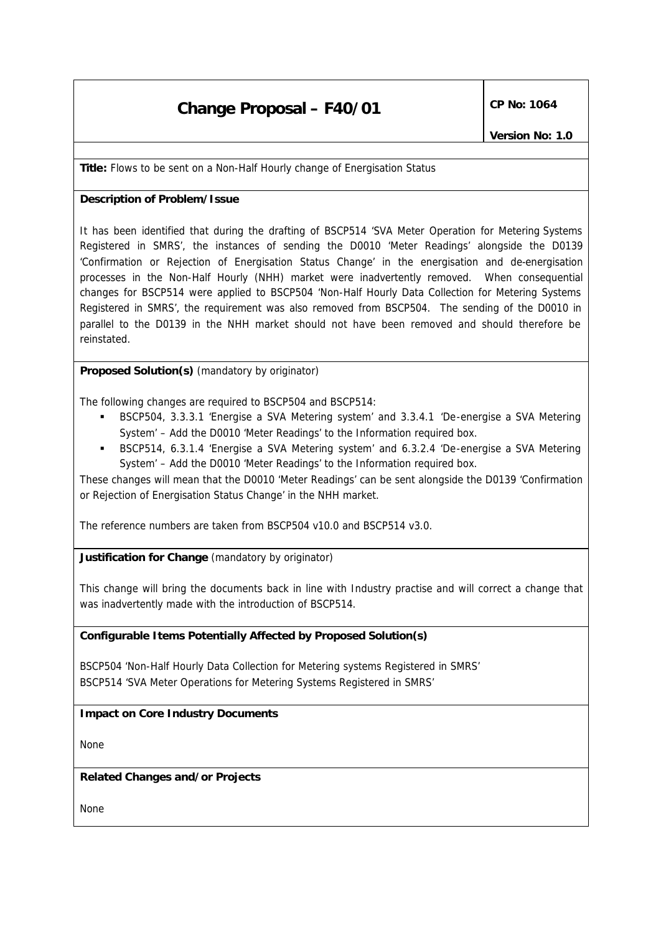# **Change Proposal – F40/01** CP No: 1064

**Title:** Flows to be sent on a Non-Half Hourly change of Energisation Status

### **Description of Problem/Issue**

It has been identified that during the drafting of BSCP514 'SVA Meter Operation for Metering Systems Registered in SMRS', the instances of sending the D0010 'Meter Readings' alongside the D0139 'Confirmation or Rejection of Energisation Status Change' in the energisation and de-energisation processes in the Non-Half Hourly (NHH) market were inadvertently removed. When consequential changes for BSCP514 were applied to BSCP504 'Non-Half Hourly Data Collection for Metering Systems Registered in SMRS', the requirement was also removed from BSCP504. The sending of the D0010 in parallel to the D0139 in the NHH market should not have been removed and should therefore be reinstated.

**Proposed Solution(s)** *(mandatory by originator)*

The following changes are required to BSCP504 and BSCP514:

- ß BSCP504, 3.3.3.1 'Energise a SVA Metering system' and 3.3.4.1 'De-energise a SVA Metering System' – Add the D0010 'Meter Readings' to the Information required box.
- ß BSCP514, 6.3.1.4 'Energise a SVA Metering system' and 6.3.2.4 'De-energise a SVA Metering System' – Add the D0010 'Meter Readings' to the Information required box.

These changes will mean that the D0010 'Meter Readings' can be sent alongside the D0139 'Confirmation or Rejection of Energisation Status Change' in the NHH market.

The reference numbers are taken from BSCP504 v10.0 and BSCP514 v3.0.

**Justification for Change** *(mandatory by originator)*

This change will bring the documents back in line with Industry practise and will correct a change that was inadvertently made with the introduction of BSCP514.

#### **Configurable Items Potentially Affected by Proposed Solution(s)**

BSCP504 'Non-Half Hourly Data Collection for Metering systems Registered in SMRS' BSCP514 'SVA Meter Operations for Metering Systems Registered in SMRS'

## **Impact on Core Industry Documents**

None

#### **Related Changes and/or Projects**

None